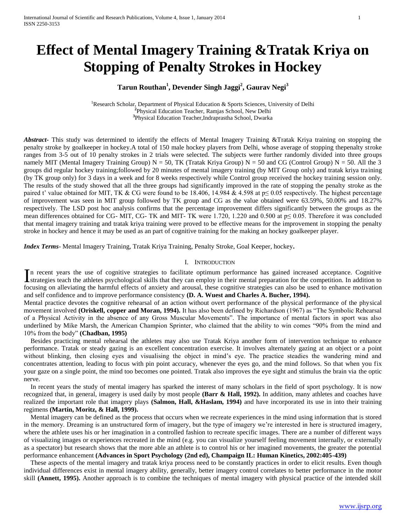# **Effect of Mental Imagery Training &Tratak Kriya on Stopping of Penalty Strokes in Hockey**

## **Tarun Routhan<sup>1</sup> , Devender Singh Jaggi<sup>2</sup> , Gaurav Negi<sup>3</sup>**

<sup>1</sup>Research Scholar, Department of Physical Education & Sports Sciences, University of Delhi **2** Physical Education Teacher, Ramjas School, New Delhi **3** Physical Education Teacher,Indraprastha School, Dwarka

*Abstract***-** This study was determined to identify the effects of Mental Imagery Training &Tratak Kriya training on stopping the penalty stroke by goalkeeper in hockey.A total of 150 male hockey players from Delhi, whose average of stopping thepenalty stroke ranges from 3-5 out of 10 penalty strokes in 2 trials were selected. The subjects were further randomly divided into three groups namely MIT (Mental Imagery Training Group)  $N = 50$ , TK (Tratak Kriya Group)  $N = 50$  and CG (Control Group)  $N = 50$ . All the 3 groups did regular hockey training;followed by 20 minutes of mental imagery training (by MIT Group only) and tratak kriya training (by TK group only) for 3 days in a week and for 8 weeks respectively while Control group received the hockey training session only. The results of the study showed that all the three groups had significantly improved in the rate of stopping the penalty stroke as the paired t' value obtained for MIT, TK & CG were found to be 18.406, 14.984 & 4.598 at  $p \le 0.05$  respectively. The highest percentage of improvement was seen in MIT group followed by TK group and CG as the value obtained were 63.59%, 50.00% and 18.27% respectively. The LSD post hoc analysis confirms that the percentage improvement differs significantly between the groups as the mean differences obtained for CG- MIT, CG- TK and MIT- TK were 1.720, 1.220 and 0.500 at p≤ 0.05. Therefore it was concluded that mental imagery training and tratak kriya training were proved to be effective means for the improvement in stopping the penalty stroke in hockey and hence it may be used as an part of cognitive training for the making an hockey goalkeeper player.

*Index Terms*- Mental Imagery Training, Tratak Kriya Training, Penalty Stroke, Goal Keeper, hockey**.**

#### I. INTRODUCTION

n recent years the use of cognitive strategies to facilitate optimum performance has gained increased acceptance. Cognitive In recent years the use of cognitive strategies to facilitate optimum performance has gained increased acceptance. Cognitive strategies teach the athletes psychological skills that they can employ in their mental preparati focusing on alleviating the harmful effects of anxiety and arousal, these cognitive strategies can also be used to enhance motivation and self confidence and to improve performance consistency **(D. A. Wuest and Charles A. Bucher, 1994).**

Mental practice devotes the cognitive rehearsal of an action without overt performance of the physical performance of the physical movement involved **(Oriskell, copper and Moran, 1994).** It has also been defined by Richardson (1967) as "The Symbolic Rehearsal of a Physical Activity in the absence of any Gross Muscular Movements". The importance of mental factors in sport was also underlined by Mike Marsh, the American Champion Sprinter, who claimed that the ability to win comes "90% from the mind and 10% from the body" **(Chadban, 1995)**

 Besides practicing mental rehearsal the athletes may also use Tratak Kriya another form of intervention technique to enhance performance. Tratak or steady gazing is an excellent concentration exercise. It involves alternately gazing at an object or a point without blinking, then closing eyes and visualising the object in mind's eye. The practice steadies the wandering mind and concentrates attention, leading to focus with pin point accuracy, whenever the eyes go, and the mind follows. So that when you fix your gaze on a single point, the mind too becomes one pointed. Tratak also improves the eye sight and stimulus the brain via the optic nerve.

 In recent years the study of mental imagery has sparked the interest of many scholars in the field of sport psychology. It is now recognized that, in general, imagery is used daily by most people **(Barr & Hall, 1992).** In addition, many athletes and coaches have realized the important role that imagery plays **(Salmon, Hall, &Haslam, 1994)** and have incorporated its use in into their training regimens **(Martin, Moritz, & Hall, 1999).** 

 Mental imagery can be defined as the process that occurs when we recreate experiences in the mind using information that is stored in the memory. Dreaming is an unstructured form of imagery, but the type of imagery we're interested in here is structured imagery, where the athlete uses his or her imagination in a controlled fashion to recreate specific images. There are a number of different ways of visualizing images or experiences recreated in the mind (e.g. you can visualize yourself feeling movement internally, or externally as a spectator) but research shows that the more able an athlete is to control his or her imagined movements, the greater the potential performance enhancement **(Advances in Sport Psychology (2nd ed), Champaign IL: Human Kinetics, 2002:405-439)**

These aspects of the mental imagery and tratak kriya process need to be constantly practices in order to elicit results. Even though individual differences exist in mental imagery ability, generally, better imagery control correlates to better performance in the motor skill **(Annett, 1995).** Another approach is to combine the techniques of mental imagery with physical practice of the intended skill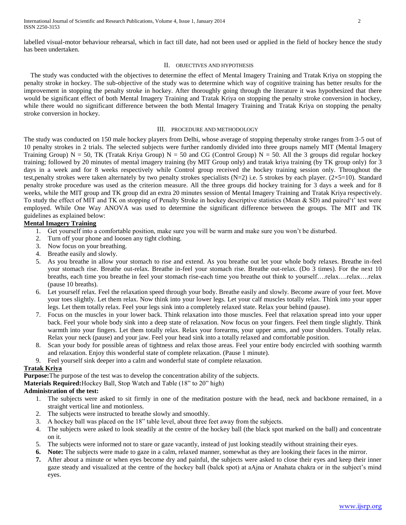labelled visual-motor behaviour rehearsal, which in fact till date, had not been used or applied in the field of hockey hence the study has been undertaken.

## II. OBJECTIVES AND HYPOTHESIS

 The study was conducted with the objectives to determine the effect of Mental Imagery Training and Tratak Kriya on stopping the penalty stroke in hockey. The sub-objective of the study was to determine which way of cognitive training has better results for the improvement in stopping the penalty stroke in hockey. After thoroughly going through the literature it was hypothesized that there would be significant effect of both Mental Imagery Training and Tratak Kriya on stopping the penalty stroke conversion in hockey, while there would no significant difference between the both Mental Imagery Training and Tratak Kriya on stopping the penalty stroke conversion in hockey.

#### III. PROCEDURE AND METHODOLOGY

The study was conducted on 150 male hockey players from Delhi, whose average of stopping thepenalty stroke ranges from 3-5 out of 10 penalty strokes in 2 trials. The selected subjects were further randomly divided into three groups namely MIT (Mental Imagery Training Group)  $N = 50$ , TK (Tratak Kriya Group)  $N = 50$  and CG (Control Group)  $N = 50$ . All the 3 groups did regular hockey training; followed by 20 minutes of mental imagery training (by MIT Group only) and tratak kriya training (by TK group only) for 3 days in a week and for 8 weeks respectively while Control group received the hockey training session only. Throughout the test,penalty strokes were taken alternately by two penalty strokes specialists  $(N=2)$  i.e. 5 strokes by each player.  $(2\times5=10)$ . Standard penalty stroke procedure was used as the criterion measure. All the three groups did hockey training for 3 days a week and for 8 weeks, while the MIT group and TK group did an extra 20 minutes session of Mental Imagery Training and Tratak Kriya respectively. To study the effect of MIT and TK on stopping of Penalty Stroke in hockey descriptive statistics (Mean & SD) and paired't' test were employed. While One Way ANOVA was used to determine the significant difference between the groups. The MIT and TK guidelines as explained below:

## **Mental Imagery Training**

- 1. Get yourself into a comfortable position, make sure you will be warm and make sure you won't be disturbed.
- 2. Turn off your phone and loosen any tight clothing.
- 3. Now focus on your breathing.
- 4. Breathe easily and slowly.
- 5. As you breathe in allow your stomach to rise and extend. As you breathe out let your whole body relaxes. Breathe in-feel your stomach rise. Breathe out-relax. Breathe in-feel your stomach rise. Breathe out-relax. (Do 3 times). For the next 10 breaths, each time you breathe in feel your stomach rise-each time you breathe out think to yourself….relax….relax….relax (pause 10 breaths).
- 6. Let yourself relax. Feel the relaxation speed through your body. Breathe easily and slowly. Become aware of your feet. Move your toes slightly. Let them relax. Now think into your lower legs. Let your calf muscles totally relax. Think into your upper legs. Let them totally relax. Feel your legs sink into a completely relaxed state. Relax your behind (pause).
- 7. Focus on the muscles in your lower back. Think relaxation into those muscles. Feel that relaxation spread into your upper back. Feel your whole body sink into a deep state of relaxation. Now focus on your fingers. Feel them tingle slightly. Think warmth into your fingers. Let them totally relax. Relax your forearms, your upper arms, and your shoulders. Totally relax. Relax your neck (pause) and your jaw. Feel your head sink into a totally relaxed and comfortable position.
- 8. Scan your body for possible areas of tightness and relax those areas. Feel your entire body encircled with soothing warmth and relaxation. Enjoy this wonderful state of complete relaxation. (Pause 1 minute).
- 9. Feel yourself sink deeper into a calm and wonderful state of complete relaxation.

## **Tratak Kriya**

**Purpose:**The purpose of the test was to develop the concentration ability of the subjects.

**Materials Required:**Hockey Ball, Stop Watch and Table (18" to 20" high)

## **Administration of the test:**

- 1. The subjects were asked to sit firmly in one of the meditation posture with the head, neck and backbone remained, in a straight vertical line and motionless.
- 2. The subjects were instructed to breathe slowly and smoothly.
- 3. A hockey ball was placed on the 18" table level, about three feet away from the subjects.
- 4. The subjects were asked to look steadily at the centre of the hockey ball (the black spot marked on the ball) and concentrate on it.
- 5. The subjects were informed not to stare or gaze vacantly, instead of just looking steadily without straining their eyes.
- **6. Note:** The subjects were made to gaze in a calm, relaxed manner, somewhat as they are looking their faces in the mirror.
- **7.** After about a minute or when eyes become dry and painful, the subjects were asked to close their eyes and keep their inner gaze steady and visualized at the centre of the hockey ball (balck spot) at aAjna or Anahata chakra or in the subject's mind eyes.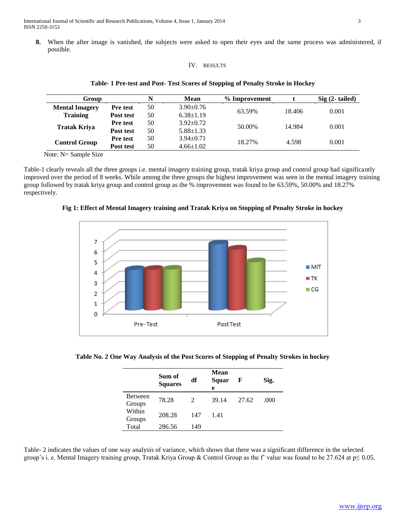**8.** When the after image is vanished, the subjects were asked to open their eyes and the same process was administered, if possible.

## IV. RESULTS

| Group                 |                 | N  | Mean            | % Improvement |        | $Sig(2-tailed)$ |
|-----------------------|-----------------|----|-----------------|---------------|--------|-----------------|
| <b>Mental Imagery</b> | <b>Pre test</b> | 50 | $3.90 \pm 0.76$ | 63.59%        | 18.406 | 0.001           |
| <b>Training</b>       | Post test       | 50 | $6.38 \pm 1.19$ |               |        |                 |
| <b>Tratak Kriya</b>   | <b>Pre test</b> | 50 | $3.92 \pm 0.72$ | 50.00%        | 14.984 | 0.001           |
|                       | Post test       | 50 | $5.88 \pm 1.33$ |               |        |                 |
| <b>Control Group</b>  | <b>Pre test</b> | 50 | $3.94 + 0.71$   | 18.27%        | 4.598  | 0.001           |
|                       | Post test       | 50 | $4.66 \pm 1.02$ |               |        |                 |

#### **Table- 1 Pre-test and Post- Test Scores of Stopping of Penalty Stroke in Hockey**

Note: N= Sample Size

Table-1 clearly reveals all the three groups i.e. mental imagery training group, tratak kriya group and control group had significantly improved over the period of 8 weeks. While among the three groups the highest improvement was seen in the mental imagery training group followed by tratak kriya group and control group as the % improvement was found to be 63.59%, 50.00% and 18.27% respectively.



**Fig 1: Effect of Mental Imagery training and Tratak Kriya on Stopping of Penalty Stroke in hockey**

**Table No. 2 One Way Analysis of the Post Scores of Stopping of Penalty Strokes in hockey**

|                          | Sum of<br><b>Squares</b> | df                          | <b>Mean</b><br>Squar<br>e | F     | Sig. |
|--------------------------|--------------------------|-----------------------------|---------------------------|-------|------|
| <b>Between</b><br>Groups | 78.28                    | $\mathcal{D}_{\mathcal{L}}$ | 39.14                     | 27.62 | .000 |
| Within<br>Groups         | 208.28                   | 147                         | 1.41                      |       |      |
| Total                    | 286.56                   | 149                         |                           |       |      |

Table- 2 indicates the values of one way analysis of variance, which shows that there was a significant difference in the selected group's i. e. Mental Imagery training group, Tratak Kriya Group & Control Group as the f' value was found to be 27.624 at  $p \le 0.05$ .